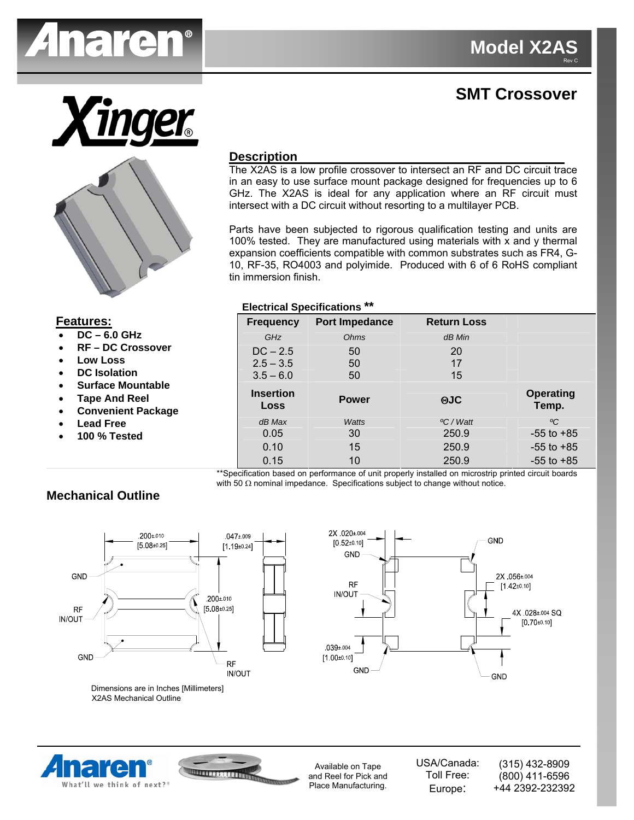

# **SMT Crossover**





#### **Description**

The X2AS is a low profile crossover to intersect an RF and DC circuit trace in an easy to use surface mount package designed for frequencies up to 6 GHz. The X2AS is ideal for any application where an RF circuit must intersect with a DC circuit without resorting to a multilayer PCB.

Parts have been subjected to rigorous qualification testing and units are 100% tested. They are manufactured using materials with x and y thermal expansion coefficients compatible with common substrates such as FR4, G-10, RF-35, RO4003 and polyimide. Produced with 6 of 6 RoHS compliant tin immersion finish.

#### **Electrical Specifications \*\***

| <b>Frequency</b>         | <b>Port Impedance</b> | <b>Return Loss</b>    |                    |
|--------------------------|-----------------------|-----------------------|--------------------|
| GHz                      | Ohms                  | $dB$ Min              |                    |
| $DC - 2.5$               | 50                    | 20                    |                    |
| $2.5 - 3.5$              | 50                    | 17                    |                    |
| $3.5 - 6.0$              | 50                    | 15                    |                    |
| <b>Insertion</b><br>Loss | <b>Power</b>          | <b>AJC</b>            | Operating<br>Temp. |
| $dB$ Max                 | Watts                 | <sup>o</sup> C / Watt | $\rm ^oC$          |
| 0.05                     | 30                    | 250.9                 | $-55$ to $+85$     |
| 0.10                     | 15                    | 250.9                 | $-55$ to $+85$     |
| 0.15                     | 10                    | 250.9                 | $-55$ to $+85$     |

\*\*Specification based on performance of unit properly installed on microstrip printed circuit boards with 50 Ω nominal impedance. Specifications subject to change without notice.

### **Mechanical Outline**

**Features:**

• **DC – 6.0 GHz**  • **RF – DC Crossover** 

• **Surface Mountable** 

• **Low Loss**  • **DC Isolation** 

• **Tape And Reel**  • **Convenient Package** 

> • **Lead Free**  • **100 % Tested**



Dimensions are in Inches [Millimeters] X2AS Mechanical Outline



What'll we think of next?



Available on Tape and Reel for Pick and Place Manufacturing.

USA/Canada: Toll Free: Europe:

(315) 432-8909 (800) 411-6596 +44 2392-232392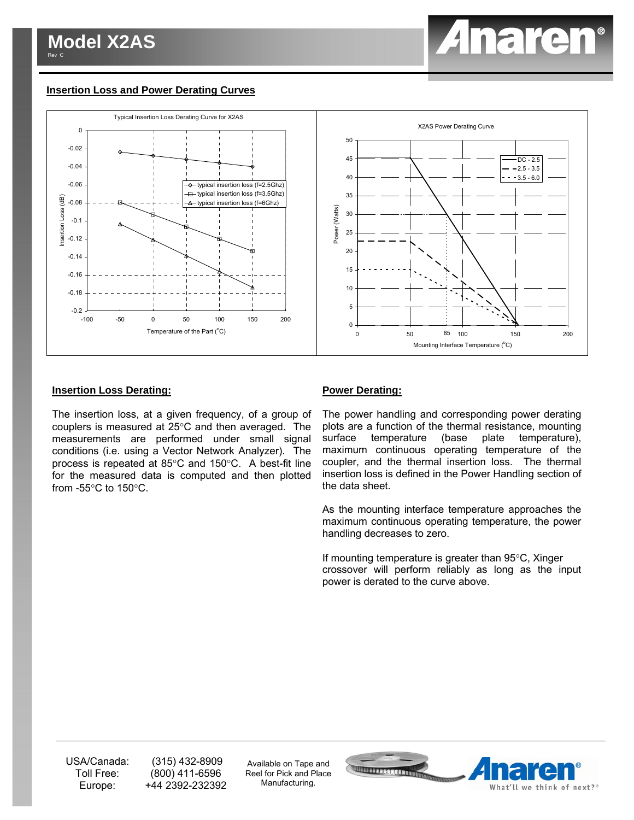# *Anaren*

#### **Insertion Loss and Power Derating Curves**



#### **Insertion Loss Derating:**

The insertion loss, at a given frequency, of a group of couplers is measured at 25°C and then averaged. The measurements are performed under small signal conditions (i.e. using a Vector Network Analyzer). The process is repeated at 85°C and 150°C. A best-fit line for the measured data is computed and then plotted from  $-55^{\circ}$ C to  $150^{\circ}$ C.

#### **Power Derating:**

The power handling and corresponding power derating plots are a function of the thermal resistance, mounting surface temperature (base plate temperature), maximum continuous operating temperature of the coupler, and the thermal insertion loss. The thermal insertion loss is defined in the Power Handling section of the data sheet.

As the mounting interface temperature approaches the maximum continuous operating temperature, the power handling decreases to zero.

If mounting temperature is greater than 95°C, Xinger crossover will perform reliably as long as the input power is derated to the curve above.

USA/Canada: Toll Free: Europe:

 (315) 432-8909 (800) 411-6596 +44 2392-232392

Available on Tape and Reel for Pick and Place Manufacturing.

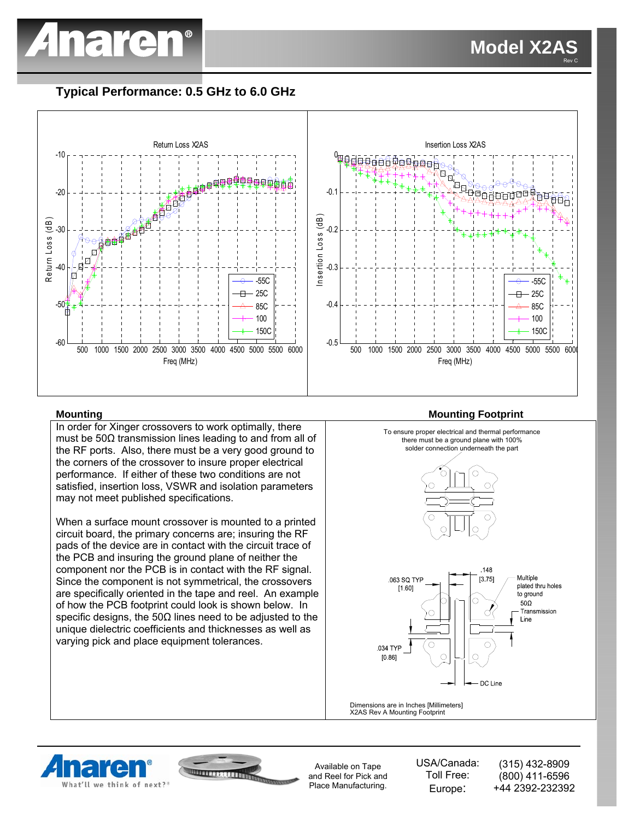

## **Typical Performance: 0.5 GHz to 6.0 GHz**



#### **Mounting Mounting Footprint**

In order for Xinger crossovers to work optimally, there must be 50Ω transmission lines leading to and from all of the RF ports. Also, there must be a very good ground to the corners of the crossover to insure proper electrical performance. If either of these two conditions are not satisfied, insertion loss, VSWR and isolation parameters may not meet published specifications.

When a surface mount crossover is mounted to a printed circuit board, the primary concerns are; insuring the RF pads of the device are in contact with the circuit trace of the PCB and insuring the ground plane of neither the component nor the PCB is in contact with the RF signal. Since the component is not symmetrical, the crossovers are specifically oriented in the tape and reel. An example of how the PCB footprint could look is shown below. In specific designs, the  $50\Omega$  lines need to be adjusted to the unique dielectric coefficients and thicknesses as well as varying pick and place equipment tolerances.



X2AS Rev A Mounting Footprint





Available on Tape and Reel for Pick and Place Manufacturing.

USA/Canada: Toll Free: Europe:

(315) 432-8909 (800) 411-6596 +44 2392-232392